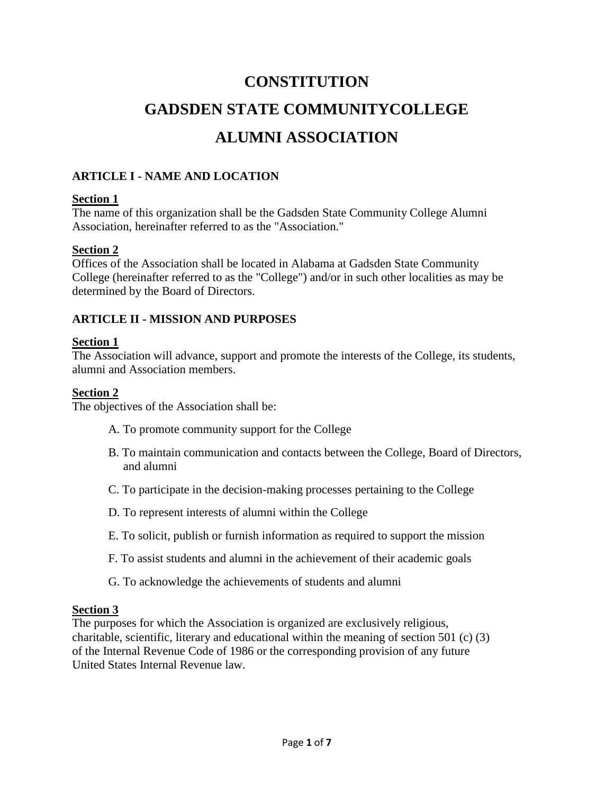# **CONSTITUTION GADSDEN STATE COMMUNITYCOLLEGE ALUMNI ASSOCIATION**

# **ARTICLE I - NAME AND LOCATION**

#### **Section 1**

The name of this organization shall be the Gadsden State Community College Alumni Association, hereinafter referred to as the "Association."

#### **Section 2**

Offices of the Association shall be located in Alabama at Gadsden State Community College (hereinafter referred to as the "College") and/or in such other localities as may be determined by the Board of Directors.

#### **ARTICLE II - MISSION AND PURPOSES**

#### **Section 1**

The Association will advance, support and promote the interests of the College, its students, alumni and Association members.

#### **Section 2**

The objectives of the Association shall be:

- A. To promote community support for the College
- B. To maintain communication and contacts between the College, Board of Directors, and alumni
- C. To participate in the decision-making processes pertaining to the College
- D. To represent interests of alumni within the College
- E. To solicit, publish or furnish information as required to support the mission
- F. To assist students and alumni in the achievement of their academic goals
- G. To acknowledge the achievements of students and alumni

#### **Section 3**

The purposes for which the Association is organized are exclusively religious, charitable, scientific, literary and educational within the meaning of section 501 (c) (3) of the Internal Revenue Code of 1986 or the corresponding provision of any future United States Internal Revenue law.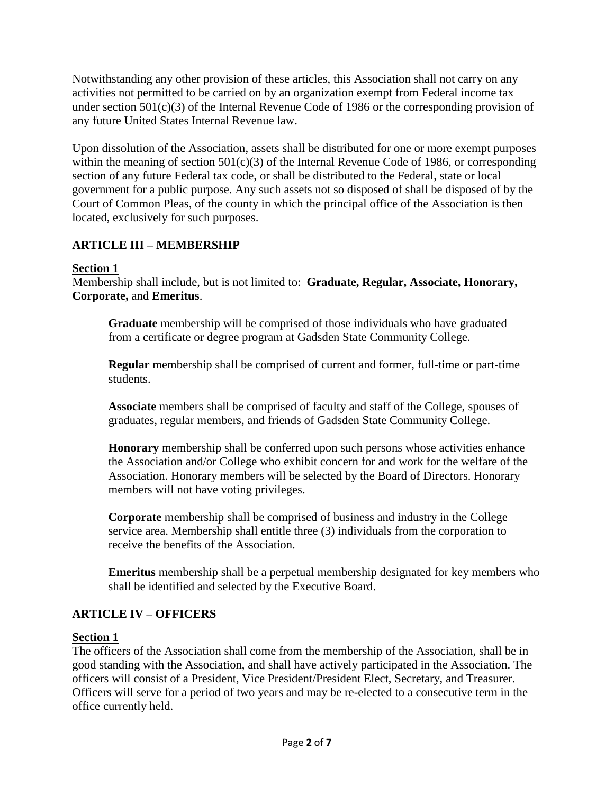Notwithstanding any other provision of these articles, this Association shall not carry on any activities not permitted to be carried on by an organization exempt from Federal income tax under section 501(c)(3) of the Internal Revenue Code of 1986 or the corresponding provision of any future United States Internal Revenue law.

Upon dissolution of the Association, assets shall be distributed for one or more exempt purposes within the meaning of section  $501(c)(3)$  of the Internal Revenue Code of 1986, or corresponding section of any future Federal tax code, or shall be distributed to the Federal, state or local government for a public purpose. Any such assets not so disposed of shall be disposed of by the Court of Common Pleas, of the county in which the principal office of the Association is then located, exclusively for such purposes.

# **ARTICLE III – MEMBERSHIP**

## **Section 1**

Membership shall include, but is not limited to: **Graduate, Regular, Associate, Honorary, Corporate,** and **Emeritus**.

**Graduate** membership will be comprised of those individuals who have graduated from a certificate or degree program at Gadsden State Community College.

**Regular** membership shall be comprised of current and former, full-time or part-time students.

**Associate** members shall be comprised of faculty and staff of the College, spouses of graduates, regular members, and friends of Gadsden State Community College.

**Honorary** membership shall be conferred upon such persons whose activities enhance the Association and/or College who exhibit concern for and work for the welfare of the Association. Honorary members will be selected by the Board of Directors. Honorary members will not have voting privileges.

**Corporate** membership shall be comprised of business and industry in the College service area. Membership shall entitle three (3) individuals from the corporation to receive the benefits of the Association.

**Emeritus** membership shall be a perpetual membership designated for key members who shall be identified and selected by the Executive Board.

# **ARTICLE IV – OFFICERS**

#### **Section 1**

The officers of the Association shall come from the membership of the Association, shall be in good standing with the Association, and shall have actively participated in the Association. The officers will consist of a President, Vice President/President Elect, Secretary, and Treasurer. Officers will serve for a period of two years and may be re-elected to a consecutive term in the office currently held.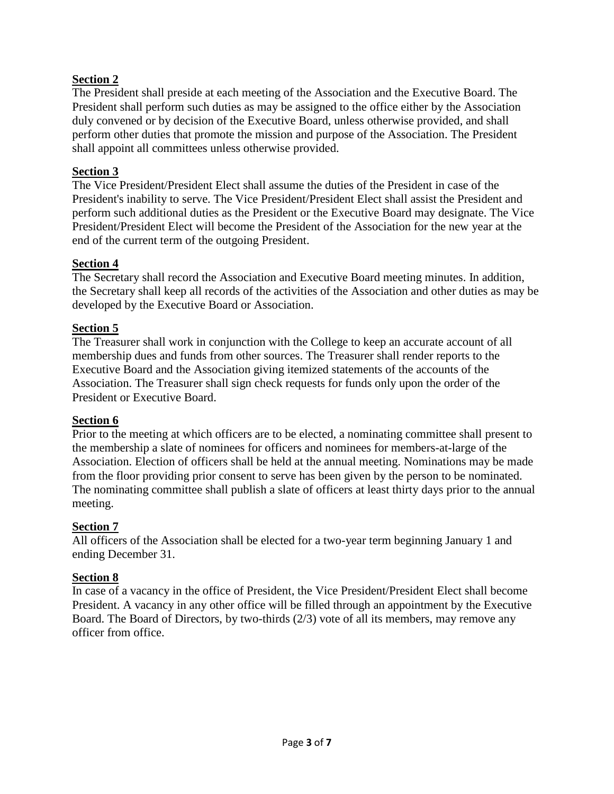## **Section 2**

The President shall preside at each meeting of the Association and the Executive Board. The President shall perform such duties as may be assigned to the office either by the Association duly convened or by decision of the Executive Board, unless otherwise provided, and shall perform other duties that promote the mission and purpose of the Association. The President shall appoint all committees unless otherwise provided.

#### **Section 3**

The Vice President/President Elect shall assume the duties of the President in case of the President's inability to serve. The Vice President/President Elect shall assist the President and perform such additional duties as the President or the Executive Board may designate. The Vice President/President Elect will become the President of the Association for the new year at the end of the current term of the outgoing President.

#### **Section 4**

The Secretary shall record the Association and Executive Board meeting minutes. In addition, the Secretary shall keep all records of the activities of the Association and other duties as may be developed by the Executive Board or Association.

#### **Section 5**

The Treasurer shall work in conjunction with the College to keep an accurate account of all membership dues and funds from other sources. The Treasurer shall render reports to the Executive Board and the Association giving itemized statements of the accounts of the Association. The Treasurer shall sign check requests for funds only upon the order of the President or Executive Board.

#### **Section 6**

Prior to the meeting at which officers are to be elected, a nominating committee shall present to the membership a slate of nominees for officers and nominees for members-at-large of the Association. Election of officers shall be held at the annual meeting. Nominations may be made from the floor providing prior consent to serve has been given by the person to be nominated. The nominating committee shall publish a slate of officers at least thirty days prior to the annual meeting.

#### **Section 7**

All officers of the Association shall be elected for a two-year term beginning January 1 and ending December 31.

#### **Section 8**

In case of a vacancy in the office of President, the Vice President/President Elect shall become President. A vacancy in any other office will be filled through an appointment by the Executive Board. The Board of Directors, by two-thirds (2/3) vote of all its members, may remove any officer from office.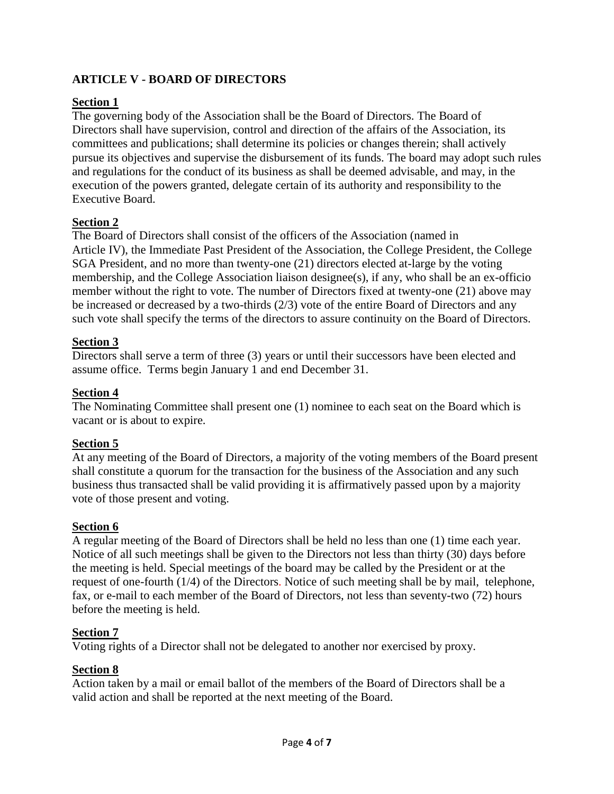# **ARTICLE V - BOARD OF DIRECTORS**

# **Section 1**

The governing body of the Association shall be the Board of Directors. The Board of Directors shall have supervision, control and direction of the affairs of the Association, its committees and publications; shall determine its policies or changes therein; shall actively pursue its objectives and supervise the disbursement of its funds. The board may adopt such rules and regulations for the conduct of its business as shall be deemed advisable, and may, in the execution of the powers granted, delegate certain of its authority and responsibility to the Executive Board.

# **Section 2**

The Board of Directors shall consist of the officers of the Association (named in Article IV), the Immediate Past President of the Association, the College President, the College SGA President, and no more than twenty-one (21) directors elected at-large by the voting membership, and the College Association liaison designee(s), if any, who shall be an ex-officio member without the right to vote. The number of Directors fixed at twenty-one (21) above may be increased or decreased by a two-thirds (2/3) vote of the entire Board of Directors and any such vote shall specify the terms of the directors to assure continuity on the Board of Directors.

## **Section 3**

Directors shall serve a term of three (3) years or until their successors have been elected and assume office. Terms begin January 1 and end December 31.

## **Section 4**

The Nominating Committee shall present one (1) nominee to each seat on the Board which is vacant or is about to expire.

# **Section 5**

At any meeting of the Board of Directors, a majority of the voting members of the Board present shall constitute a quorum for the transaction for the business of the Association and any such business thus transacted shall be valid providing it is affirmatively passed upon by a majority vote of those present and voting.

# **Section 6**

A regular meeting of the Board of Directors shall be held no less than one (1) time each year. Notice of all such meetings shall be given to the Directors not less than thirty (30) days before the meeting is held. Special meetings of the board may be called by the President or at the request of one-fourth (1/4) of the Directors. Notice of such meeting shall be by mail, telephone, fax, or e-mail to each member of the Board of Directors, not less than seventy-two (72) hours before the meeting is held.

# **Section 7**

Voting rights of a Director shall not be delegated to another nor exercised by proxy.

# **Section 8**

Action taken by a mail or email ballot of the members of the Board of Directors shall be a valid action and shall be reported at the next meeting of the Board.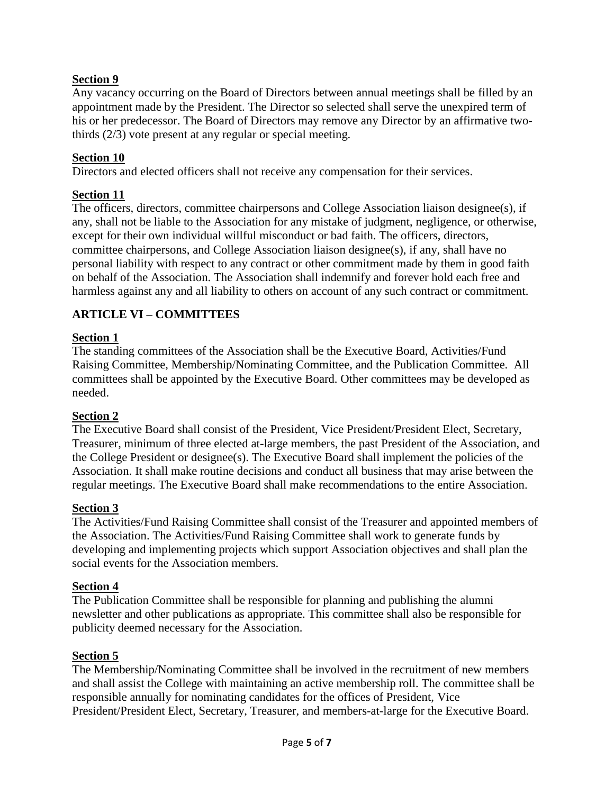# **Section 9**

Any vacancy occurring on the Board of Directors between annual meetings shall be filled by an appointment made by the President. The Director so selected shall serve the unexpired term of his or her predecessor. The Board of Directors may remove any Director by an affirmative twothirds (2/3) vote present at any regular or special meeting.

#### **Section 10**

Directors and elected officers shall not receive any compensation for their services.

#### **Section 11**

The officers, directors, committee chairpersons and College Association liaison designee(s), if any, shall not be liable to the Association for any mistake of judgment, negligence, or otherwise, except for their own individual willful misconduct or bad faith. The officers, directors, committee chairpersons, and College Association liaison designee(s), if any, shall have no personal liability with respect to any contract or other commitment made by them in good faith on behalf of the Association. The Association shall indemnify and forever hold each free and harmless against any and all liability to others on account of any such contract or commitment.

## **ARTICLE VI – COMMITTEES**

#### **Section 1**

The standing committees of the Association shall be the Executive Board, Activities/Fund Raising Committee, Membership/Nominating Committee, and the Publication Committee. All committees shall be appointed by the Executive Board. Other committees may be developed as needed.

#### **Section 2**

The Executive Board shall consist of the President, Vice President/President Elect, Secretary, Treasurer, minimum of three elected at-large members, the past President of the Association, and the College President or designee(s). The Executive Board shall implement the policies of the Association. It shall make routine decisions and conduct all business that may arise between the regular meetings. The Executive Board shall make recommendations to the entire Association.

#### **Section 3**

The Activities/Fund Raising Committee shall consist of the Treasurer and appointed members of the Association. The Activities/Fund Raising Committee shall work to generate funds by developing and implementing projects which support Association objectives and shall plan the social events for the Association members.

#### **Section 4**

The Publication Committee shall be responsible for planning and publishing the alumni newsletter and other publications as appropriate. This committee shall also be responsible for publicity deemed necessary for the Association.

#### **Section 5**

The Membership/Nominating Committee shall be involved in the recruitment of new members and shall assist the College with maintaining an active membership roll. The committee shall be responsible annually for nominating candidates for the offices of President, Vice President/President Elect, Secretary, Treasurer, and members-at-large for the Executive Board.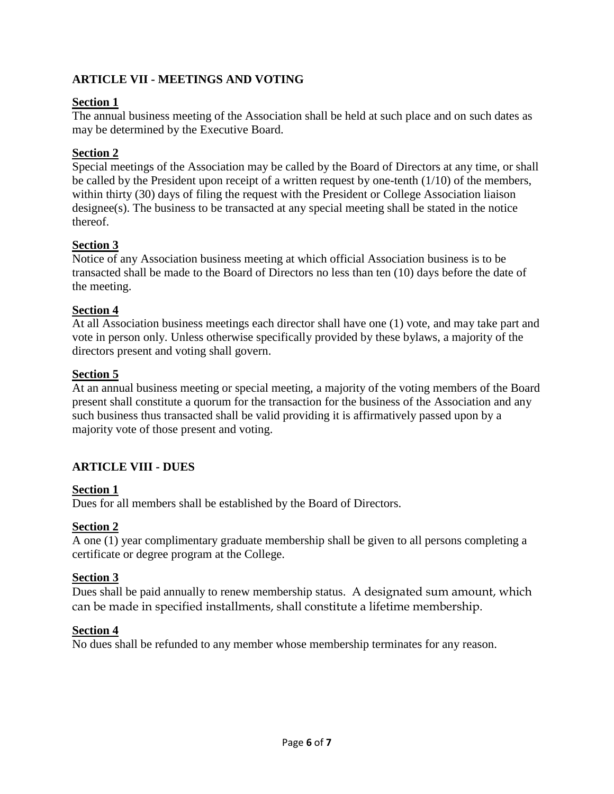# **ARTICLE VII - MEETINGS AND VOTING**

## **Section 1**

The annual business meeting of the Association shall be held at such place and on such dates as may be determined by the Executive Board.

## **Section 2**

Special meetings of the Association may be called by the Board of Directors at any time, or shall be called by the President upon receipt of a written request by one-tenth (1/10) of the members, within thirty (30) days of filing the request with the President or College Association liaison designee(s). The business to be transacted at any special meeting shall be stated in the notice thereof.

## **Section 3**

Notice of any Association business meeting at which official Association business is to be transacted shall be made to the Board of Directors no less than ten (10) days before the date of the meeting.

#### **Section 4**

At all Association business meetings each director shall have one (1) vote, and may take part and vote in person only. Unless otherwise specifically provided by these bylaws, a majority of the directors present and voting shall govern.

## **Section 5**

At an annual business meeting or special meeting, a majority of the voting members of the Board present shall constitute a quorum for the transaction for the business of the Association and any such business thus transacted shall be valid providing it is affirmatively passed upon by a majority vote of those present and voting.

# **ARTICLE VIII - DUES**

#### **Section 1**

Dues for all members shall be established by the Board of Directors.

# **Section 2**

A one (1) year complimentary graduate membership shall be given to all persons completing a certificate or degree program at the College.

#### **Section 3**

Dues shall be paid annually to renew membership status. A designated sum amount, which can be made in specified installments, shall constitute a lifetime membership.

#### **Section 4**

No dues shall be refunded to any member whose membership terminates for any reason.